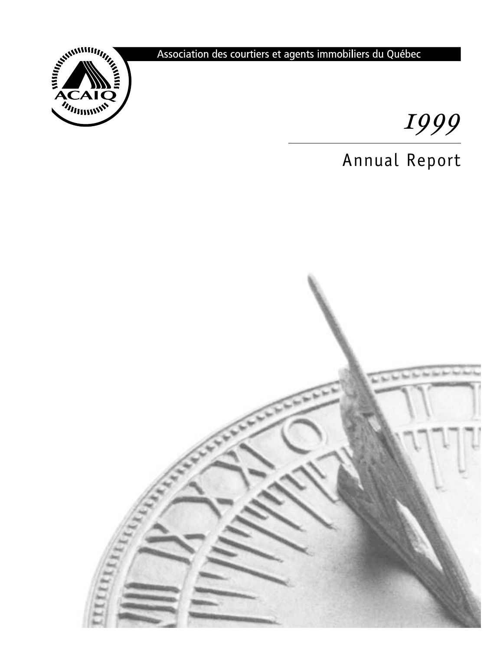

*1999*

# Annual Report

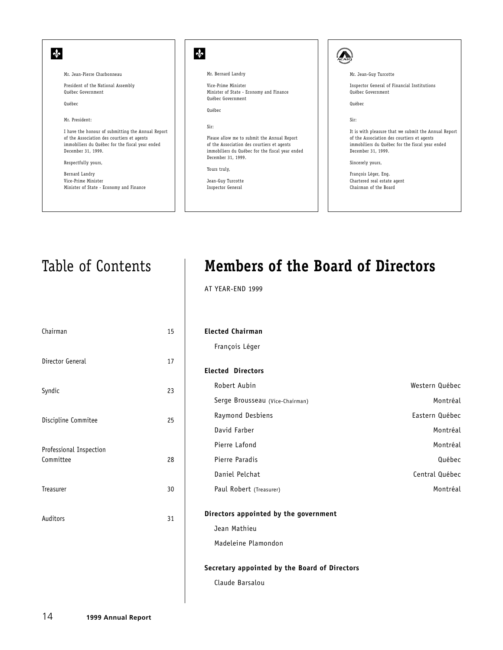

# Table of Contents

| Chairman                             | 15 |
|--------------------------------------|----|
| Director General                     | 17 |
| Syndic                               | 23 |
| Discipline Commitee                  | 25 |
| Professional Inspection<br>Committee | 28 |
| Treasurer                            | 30 |
| Auditors                             | 31 |

# **Members of the Board of Directors**

AT YEAR-END 1999

### **Elected Chairman**

François Léger

### **Elected Directors**

| Robert Aubin                    | Western Québec |
|---------------------------------|----------------|
| Serge Brousseau (Vice-Chairman) | Montréal       |
| Raymond Desbiens                | Eastern Québec |
| David Farher                    | Montréal       |
| Pierre Lafond                   | Montréal       |
| Pierre Paradis                  | Québec         |
| Daniel Pelchat                  | Central Québec |
| Paul Robert (Treasurer)         | Montréal       |

## **Directors appointed by the government**

Jean Mathieu

Madeleine Plamondon

# **Secretary appointed by the Board of Directors**

Claude Barsalou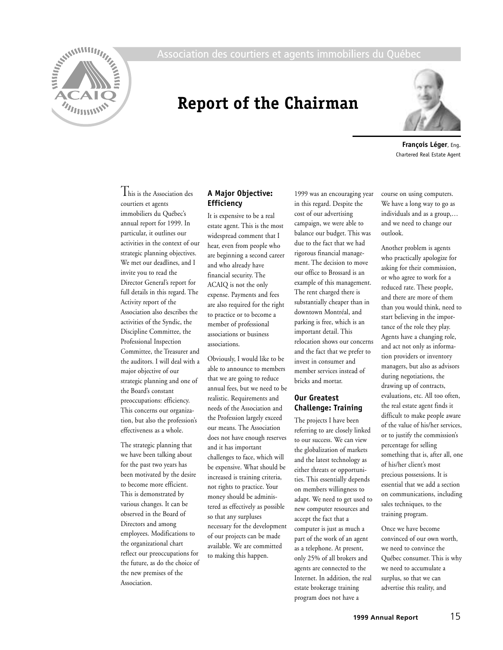

# **Report of the Chairman**



**François Léger**, Eng. Chartered Real Estate Agent

# This is the Association des

courtiers et agents immobiliers du Québec's annual report for 1999. In particular, it outlines our activities in the context of our strategic planning objectives. We met our deadlines, and I invite you to read the Director General's report for full details in this regard. The Activity report of the Association also describes the activities of the Syndic, the Discipline Committee, the Professional Inspection Committee, the Treasurer and the auditors. I will deal with a major objective of our strategic planning and one of the Board's constant preoccupations: efficiency. This concerns our organization, but also the profession's effectiveness as a whole.

The strategic planning that we have been talking about for the past two years has been motivated by the desire to become more efficient. This is demonstrated by various changes. It can be observed in the Board of Directors and among employees. Modifications to the organizational chart reflect our preoccupations for the future, as do the choice of the new premises of the Association.

# **A Major Objective: Efficiency**

It is expensive to be a real estate agent. This is the most widespread comment that I hear, even from people who are beginning a second career and who already have financial security. The ACAIQ is not the only expense. Payments and fees are also required for the right to practice or to become a member of professional associations or business associations.

Obviously, I would like to be able to announce to members that we are going to reduce annual fees, but we need to be realistic. Requirements and needs of the Association and the Profession largely exceed our means. The Association does not have enough reserves and it has important challenges to face, which will be expensive. What should be increased is training criteria, not rights to practice. Your money should be administered as effectively as possible so that any surpluses necessary for the development of our projects can be made available. We are committed to making this happen.

1999 was an encouraging year in this regard. Despite the cost of our advertising campaign, we were able to balance our budget. This was due to the fact that we had rigorous financial management. The decision to move our office to Brossard is an example of this management. The rent charged there is substantially cheaper than in downtown Montréal, and parking is free, which is an important detail. This relocation shows our concerns and the fact that we prefer to invest in consumer and member services instead of bricks and mortar.

# **Our Greatest Challenge: Training**

The projects I have been referring to are closely linked to our success. We can view the globalization of markets and the latest technology as either threats or opportunities. This essentially depends on members willingness to adapt. We need to get used to new computer resources and accept the fact that a computer is just as much a part of the work of an agent as a telephone. At present, only 25% of all brokers and agents are connected to the Internet. In addition, the real estate brokerage training program does not have a

course on using computers. We have a long way to go as individuals and as a group,… and we need to change our outlook.

Another problem is agents who practically apologize for asking for their commission, or who agree to work for a reduced rate. These people, and there are more of them than you would think, need to start believing in the importance of the role they play. Agents have a changing role, and act not only as information providers or inventory managers, but also as advisors during negotiations, the drawing up of contracts, evaluations, etc. All too often, the real estate agent finds it difficult to make people aware of the value of his/her services, or to justify the commission's percentage for selling something that is, after all, one of his/her client's most precious possessions. It is essential that we add a section on communications, including sales techniques, to the training program.

Once we have become convinced of our own worth, we need to convince the Québec consumer. This is why we need to accumulate a surplus, so that we can advertise this reality, and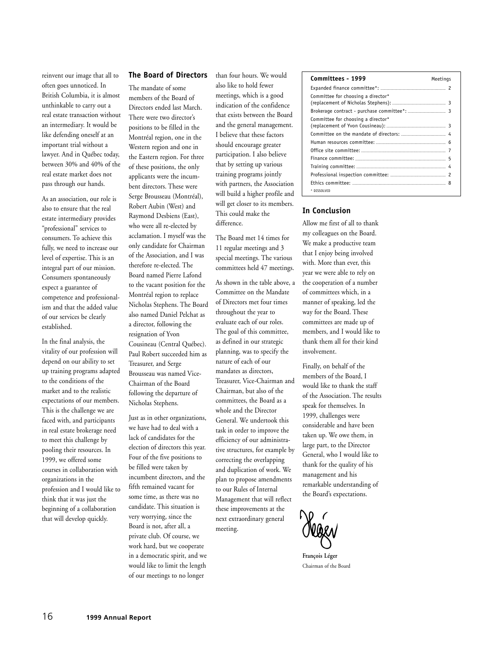reinvent our image that all to often goes unnoticed. In British Columbia, it is almost unthinkable to carry out a real estate transaction without an intermediary. It would be like defending oneself at an important trial without a lawyer. And in Québec today, between 30% and 40% of the real estate market does not pass through our hands.

As an association, our role is also to ensure that the real estate intermediary provides "professional" services to consumers. To achieve this fully, we need to increase our level of expertise. This is an integral part of our mission. Consumers spontaneously expect a guarantee of competence and professionalism and that the added value of our services be clearly established.

In the final analysis, the vitality of our profession will depend on our ability to set up training programs adapted to the conditions of the market and to the realistic expectations of our members. This is the challenge we are faced with, and participants in real estate brokerage need to meet this challenge by pooling their resources. In 1999, we offered some courses in collaboration with organizations in the profession and I would like to think that it was just the beginning of a collaboration that will develop quickly.

# **The Board of Directors**

The mandate of some members of the Board of Directors ended last March. There were two director's positions to be filled in the Montréal region, one in the Western region and one in the Eastern region. For three of these positions, the only applicants were the incumbent directors. These were Serge Brousseau (Montréal), Robert Aubin (West) and Raymond Desbiens (East), who were all re-elected by acclamation. I myself was the only candidate for Chairman of the Association, and I was therefore re-elected. The Board named Pierre Lafond to the vacant position for the

also named Daniel Pelchat as a director, following the resignation of Yvon Cousineau (Central Québec). Paul Robert succeeded him as Treasurer, and Serge Brousseau was named Vice-Chairman of the Board following the departure of Nicholas Stephens. Just as in other organizations,

Montréal region to replace Nicholas Stephens. The Board

we have had to deal with a lack of candidates for the election of directors this year. Four of the five positions to be filled were taken by incumbent directors, and the fifth remained vacant for some time, as there was no candidate. This situation is very worrying, since the Board is not, after all, a private club. Of course, we work hard, but we cooperate in a democratic spirit, and we would like to limit the length of our meetings to no longer

than four hours. We would also like to hold fewer meetings, which is a good indication of the confidence that exists between the Board and the general management. I believe that these factors should encourage greater participation. I also believe that by setting up various training programs jointly with partners, the Association will build a higher profile and will get closer to its members. This could make the difference.

The Board met 14 times for 11 regular meetings and 3 special meetings. The various committees held 47 meetings.

As shown in the table above, a Committee on the Mandate of Directors met four times throughout the year to evaluate each of our roles. The goal of this committee, as defined in our strategic planning, was to specify the nature of each of our mandates as directors, Treasurer, Vice-Chairman and Chairman, but also of the committees, the Board as a whole and the Director General. We undertook this task in order to improve the efficiency of our administrative structures, for example by correcting the overlapping and duplication of work. We plan to propose amendments to our Rules of Internal Management that will reflect these improvements at the next extraordinary general meeting.

### **Committees - 1999** Meetings Expanded finance committee\*: ................................................................... 2 Committee for choosing a director\* (replacement of Nicholas Stephens): ....................................................... 3 Brokerage contract - purchase committee\*: ....................................... 3 Committee for choosing a director\* (replacement of Yvon Cousineau): Committee on the mandate of directors: .............................................. 4 Human resources committee: ........................................................................ 6 Office site committee: ....................................................................................... 7 Finance committee: ............................................................................................. 5 Training committee: ............................................................................................ 4 Professional inspection committee: ......................................................... 2 Ethics committee: ................................................................................................ 8 \* DISSOLVED

# **In Conclusion**

Allow me first of all to thank my colleagues on the Board. We make a productive team that I enjoy being involved with. More than ever, this year we were able to rely on the cooperation of a number of committees which, in a manner of speaking, led the way for the Board. These committees are made up of members, and I would like to thank them all for their kind involvement.

Finally, on behalf of the members of the Board, I would like to thank the staff of the Association. The results speak for themselves. In 1999, challenges were considerable and have been taken up. We owe them, in large part, to the Director General, who I would like to thank for the quality of his management and his remarkable understanding of the Board's expectations.



**François Léger** Chairman of the Board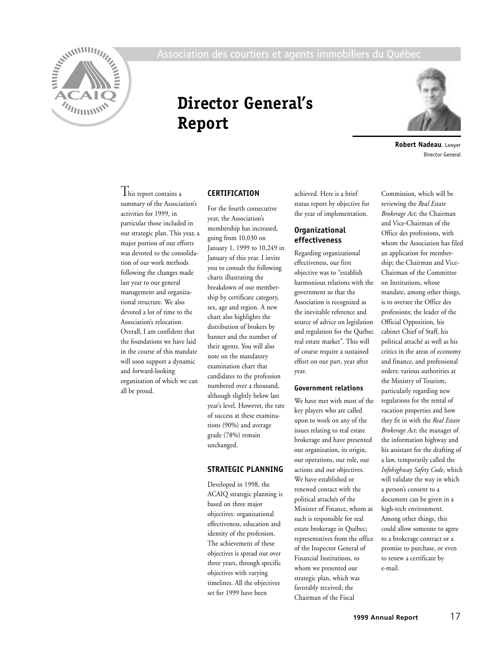

# **Director General's Report**



**Robert Nadeau**, Lawyer Director General

 $\int$ his report contains a summary of the Association's activities for 1999, in particular those included in our strategic plan. This year, a major portion of our efforts was devoted to the consolidation of our work methods following the changes made last year to our general management and organizational structure. We also devoted a lot of time to the Association's relocation. Overall, I am confident that the foundations we have laid in the course of this mandate will soon support a dynamic and forward-looking organization of which we can all be proud.

# **CERTIFICATION**

For the fourth consecutive year, the Association's membership has increased, going from 10,030 on January 1, 1999 to 10,249 in January of this year. I invite you to consult the following charts illustrating the breakdown of our membership by certificate category, sex, age and region. A new chart also highlights the distribution of brokers by banner and the number of their agents. You will also note on the mandatory examination chart that candidates to the profession numbered over a thousand, although slightly below last year's level. However, the rate of success at these examinations (90%) and average grade (78%) remain unchanged.

# **STRATEGIC PLANNING**

Developed in 1998, the ACAIQ strategic planning is based on three major objectives: organizational effectiveness, education and identity of the profession. The achievement of these objectives is spread out over three years, through specific objectives with varying timelines. All the objectives set for 1999 have been

achieved. Here is a brief status report by objective for the year of implementation.

# **Organizational effectiveness**

Regarding organizational effectiveness, our first objective was to "establish harmonious relations with the government so that the Association is recognized as the inevitable reference and source of advice on legislation and regulation for the Québec real estate market". This will of course require a sustained effort on our part, year after year.

### **Government relations**

We have met with most of the key players who are called upon to work on any of the issues relating to real estate brokerage and have presented our organization, its origin, our operations, our role, our actions and our objectives. We have established or renewed contact with the political attachés of the Minister of Finance, whom as such is responsible for real estate brokerage in Québec; representatives from the office of the Inspector General of Financial Institutions, to whom we presented our strategic plan, which was favorably received; the Chairman of the Fiscal

Commission, which will be reviewing the *Real Estate Brokerage Act;* the Chairman and Vice-Chairman of the Office des professions, with whom the Association has filed an application for membership; the Chairman and Vice-Chairman of the Committee on Institutions, whose mandate, among other things, is to oversee the Office des professions; the leader of the Official Opposition, his cabinet Chief of Staff, his political attaché as well as his critics in the areas of economy and finance, and professional orders; various authorities at the Ministry of Tourism, particularly regarding new regulations for the rental of vacation properties and how they fit in with the *Real Estate Brokerage Act;* the manager of the information highway and his assistant for the drafting of a law, temporarily called the *Infohighway Safety Code*, which will validate the way in which a person's consent to a document can be given in a high-tech environment. Among other things, this could allow someone to agree to a brokerage contract or a promise to purchase, or even to renew a certificate by e-mail.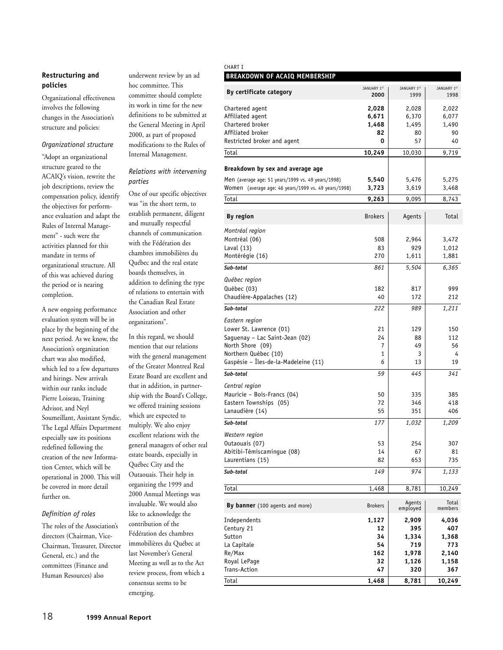# **Restructuring and policies**

Organizational effectiveness involves the following changes in the Association's structure and policies:

### *Organizational structure*

"Adopt an organizational structure geared to the ACAIQ's vision, rewrite the job descriptions, review the compensation policy, identify the objectives for performance evaluation and adapt the Rules of Internal Management" - such were the activities planned for this mandate in terms of organizational structure. All of this was achieved during the period or is nearing completion.

A new ongoing performance evaluation system will be in place by the beginning of the next period. As we know, the Association's organization chart was also modified, which led to a few departures and hirings. New arrivals within our ranks include Pierre Loiseau, Training Advisor, and Neyl Soumeillant, Assistant Syndic. The Legal Affairs Department especially saw its positions redefined following the creation of the new Information Center, which will be operational in 2000. This will be covered in more detail further on.

# *Definition of roles*

The roles of the Association's directors (Chairman, Vice-Chairman, Treasurer, Director General, etc.) and the committees (Finance and Human Resources) also

underwent review by an ad hoc committee. This

committee should complete its work in time for the new definitions to be submitted at the General Meeting in April 2000, as part of proposed modifications to the Rules of Internal Management.

## *Relations with intervening parties*

One of our specific objectives was "in the short term, to establish permanent, diligent and mutually respectful channels of communication with the Fédération des chambres immobilières du Québec and the real estate boards themselves, in addition to defining the type of relations to entertain with the Canadian Real Estate Association and other organizations".

In this regard, we should mention that our relations with the general management of the Greater Montreal Real Estate Board are excellent and that in addition, in partnership with the Board's College, we offered training sessions which are expected to multiply. We also enjoy excellent relations with the general managers of other real estate boards, especially in Québec City and the Outaouais. Their help in organizing the 1999 and 2000 Annual Meetings was invaluable. We would also like to acknowledge the contribution of the Fédération des chambres immobilières du Québec at last November's General Meeting as well as to the Act review process, from which a consensus seems to be emerging.

### CHART I **BREAKDOWN OF ACAIQ MEMBERSHIP**

| JANUARY 1ST<br>2000                        | JANUARY 1ST<br>1999                                                         | JANUARY 1ST<br>1998                                                                     |
|--------------------------------------------|-----------------------------------------------------------------------------|-----------------------------------------------------------------------------------------|
| 2,028<br>6,671<br>1,468<br>82              | 2,028<br>6,370<br>1,495<br>80                                               | 2,022<br>6,077<br>1,490<br>90<br>40                                                     |
|                                            |                                                                             | 9,719                                                                                   |
|                                            |                                                                             |                                                                                         |
|                                            |                                                                             |                                                                                         |
| 3,723                                      | 3,619                                                                       | 5,275<br>3,468                                                                          |
| 9,263                                      | 9,095                                                                       | 8,743                                                                                   |
| <b>Brokers</b>                             | Agents                                                                      | Total                                                                                   |
| 508<br>83<br>270                           | 2,964<br>929<br>1,611                                                       | 3,472<br>1,012<br>1,881                                                                 |
| 182                                        | 817                                                                         | 6,365<br>999<br>212                                                                     |
|                                            |                                                                             | 1,211                                                                                   |
| 21<br>24<br>7<br>1                         | 129<br>88<br>49<br>3                                                        | 150<br>112<br>56<br>4                                                                   |
|                                            |                                                                             | 19                                                                                      |
| 50<br>72                                   | 335<br>346<br>351                                                           | 341<br>385<br>418<br>406                                                                |
| 177                                        | 1,032                                                                       | 1,209                                                                                   |
| 53<br>14<br>82<br>149                      | 254<br>67<br>653<br>974                                                     | 307<br>81<br>735<br>1,133                                                               |
|                                            |                                                                             | 10,249                                                                                  |
| <b>Brokers</b>                             | Agents                                                                      | Total<br>members                                                                        |
| 1,127<br>12<br>34<br>54<br>162<br>32<br>47 | 2,909<br>395<br>1,334<br>719<br>1,978<br>1,126<br>320                       | 4,036<br>407<br>1,368<br>773<br>2,140<br>1,158<br>367<br>10,249                         |
|                                            | 0<br>10,249<br>5,540<br>861<br>40<br>222<br>6<br>59<br>55<br>1,468<br>1,468 | 57<br>10,030<br>5,476<br>5,504<br>172<br>989<br>13<br>445<br>8,781<br>employed<br>8,781 |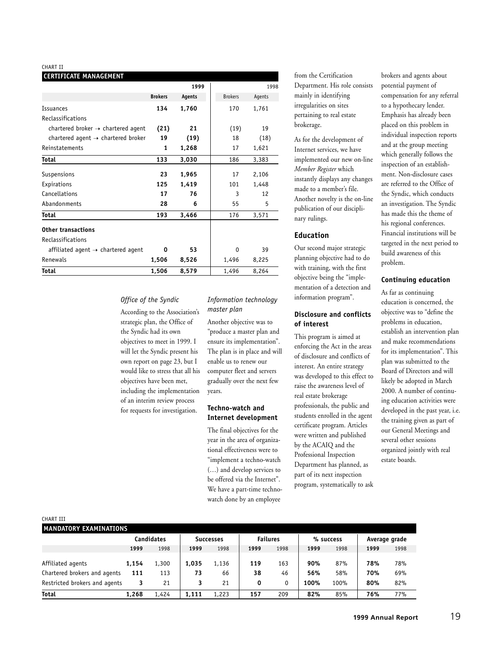### CHART II

| <b>CERTIFICATE MANAGEMENT</b>                  |                |        |                |        |
|------------------------------------------------|----------------|--------|----------------|--------|
|                                                |                | 1999   |                | 1998   |
|                                                | <b>Brokers</b> | Agents | <b>Brokers</b> | Agents |
| <b>Issuances</b>                               | 134            | 1,760  | 170            | 1,761  |
| Reclassifications                              |                |        |                |        |
| chartered broker $\rightarrow$ chartered agent | (21)           | 21     | (19)           | 19     |
| chartered agent $\rightarrow$ chartered broker | 19             | (19)   | 18             | (18)   |
| Reinstatements                                 | 1              | 1,268  | 17             | 1,621  |
| Total                                          | 133            | 3,030  | 186            | 3,383  |
| Suspensions                                    | 23             | 1,965  | 17             | 2,106  |
| Expirations                                    | 125            | 1,419  | 101            | 1,448  |
| Cancellations                                  | 17             | 76     | 3              | 12     |
| Abandonments                                   | 28             | 6      | 55             | 5      |
| Total                                          | 193            | 3,466  | 176            | 3,571  |
| <b>Other transactions</b>                      |                |        |                |        |
| Reclassifications                              |                |        |                |        |
| affiliated agent $\rightarrow$ chartered agent | $\Omega$       | 53     | 0              | 39     |
| Renewals                                       | 1,506          | 8,526  | 1,496          | 8,225  |
| <b>Total</b>                                   | 1,506          | 8,579  | 1,496          | 8,264  |

### *Office of the Syndic*

According to the Association's strategic plan, the Office of the Syndic had its own objectives to meet in 1999. I will let the Syndic present his own report on page 23, but I would like to stress that all his objectives have been met, including the implementation of an interim review process for requests for investigation.

### *Information technology master plan*

Another objective was to "produce a master plan and ensure its implementation". The plan is in place and will enable us to renew our computer fleet and servers gradually over the next few years.

### **Techno-watch and Internet development**

The final objectives for the year in the area of organizational effectiveness were to "implement a techno-watch (…) and develop services to be offered via the Internet". We have a part-time technowatch done by an employee

from the Certification Department. His role consists mainly in identifying irregularities on sites pertaining to real estate brokerage.

As for the development of Internet services, we have implemented our new on-line *Member Register* which instantly displays any changes made to a member's file. Another novelty is the on-line publication of our disciplinary rulings.

### **Education**

Our second major strategic planning objective had to do with training, with the first objective being the "implementation of a detection and information program".

## **Disclosure and conflicts of interest**

This program is aimed at enforcing the Act in the areas of disclosure and conflicts of interest. An entire strategy was developed to this effect to raise the awareness level of real estate brokerage professionals, the public and students enrolled in the agent certificate program. Articles were written and published by the ACAIQ and the Professional Inspection Department has planned, as part of its next inspection program, systematically to ask

brokers and agents about potential payment of compensation for any referral to a hypothecary lender. Emphasis has already been placed on this problem in individual inspection reports and at the group meeting which generally follows the inspection of an establishment. Non-disclosure cases are referred to the Office of the Syndic, which conducts an investigation. The Syndic has made this the theme of his regional conferences. Financial institutions will be targeted in the next period to build awareness of this problem.

### **Continuing education**

As far as continuing education is concerned, the objective was to "define the problems in education, establish an intervention plan and make recommendations for its implementation". This plan was submitted to the Board of Directors and will likely be adopted in March 2000. A number of continuing education activities were developed in the past year, i.e. the training given as part of our General Meetings and several other sessions organized jointly with real estate boards.

### CHART III

| .<br><b>MANDATORY EXAMINATIONS</b> |       |            |       |                  |      |                 |      |           |      |               |
|------------------------------------|-------|------------|-------|------------------|------|-----------------|------|-----------|------|---------------|
|                                    |       | Candidates |       | <b>Successes</b> |      | <b>Failures</b> |      | % success |      | Average grade |
|                                    | 1999  | 1998       | 1999  | 1998             | 1999 | 1998            | 1999 | 1998      | 1999 | 1998          |
| Affiliated agents                  | 1,154 | 1,300      | 1.035 | 1,136            | 119  | 163             | 90%  | 87%       | 78%  | 78%           |
| Chartered brokers and agents       | 111   | 113        | 73    | 66               | 38   | 46              | 56%  | 58%       | 70%  | 69%           |
| Restricted brokers and agents      | 3     | 21         | 3     | 21               | 0    | 0               | 100% | 100%      | 80%  | 82%           |
| <b>Total</b>                       | 1,268 | 1.424      | 1.111 | 1,223            | 157  | 209             | 82%  | 85%       | 76%  | 77%           |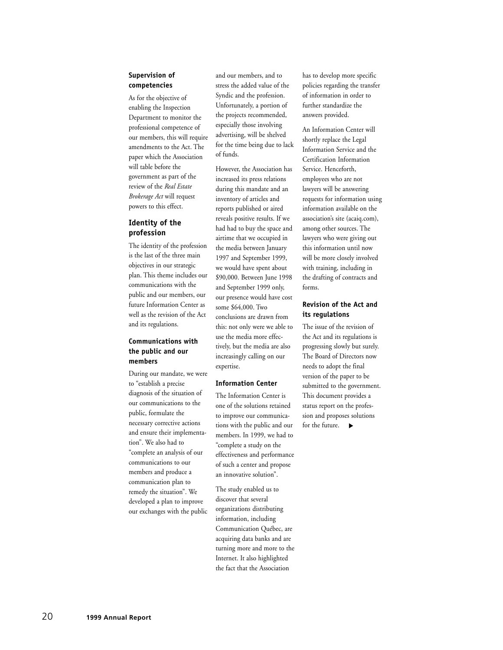# **Supervision of competencies**

As for the objective of enabling the Inspection Department to monitor the professional competence of our members, this will require amendments to the Act. The paper which the Association will table before the government as part of the review of the *Real Estate Brokerage Act* will request powers to this effect.

# **Identity of the profession**

The identity of the profession is the last of the three main objectives in our strategic plan. This theme includes our communications with the public and our members, our future Information Center as well as the revision of the Act and its regulations.

# **Communications with the public and our members**

During our mandate, we were to "establish a precise diagnosis of the situation of our communications to the public, formulate the necessary corrective actions and ensure their implementation". We also had to "complete an analysis of our communications to our members and produce a communication plan to remedy the situation". We developed a plan to improve our exchanges with the public and our members, and to stress the added value of the Syndic and the profession. Unfortunately, a portion of the projects recommended, especially those involving advertising, will be shelved for the time being due to lack of funds.

However, the Association has increased its press relations during this mandate and an inventory of articles and reports published or aired reveals positive results. If we had had to buy the space and airtime that we occupied in the media between January 1997 and September 1999, we would have spent about \$90,000. Between June 1998 and September 1999 only, our presence would have cost some \$64,000. Two conclusions are drawn from this: not only were we able to use the media more effectively, but the media are also increasingly calling on our expertise.

### **Information Center**

The Information Center is one of the solutions retained to improve our communications with the public and our members. In 1999, we had to "complete a study on the effectiveness and performance of such a center and propose an innovative solution".

The study enabled us to discover that several organizations distributing information, including Communication Québec, are acquiring data banks and are turning more and more to the Internet. It also highlighted the fact that the Association

has to develop more specific policies regarding the transfer of information in order to further standardize the answers provided.

An Information Center will shortly replace the Legal Information Service and the Certification Information Service. Henceforth, employees who are not lawyers will be answering requests for information using information available on the association's site (acaiq.com), among other sources. The lawyers who were giving out this information until now will be more closely involved with training, including in the drafting of contracts and forms.

## **Revision of the Act and its regulations**

The issue of the revision of the Act and its regulations is progressing slowly but surely. The Board of Directors now needs to adopt the final version of the paper to be submitted to the government. This document provides a status report on the profession and proposes solutions for the future.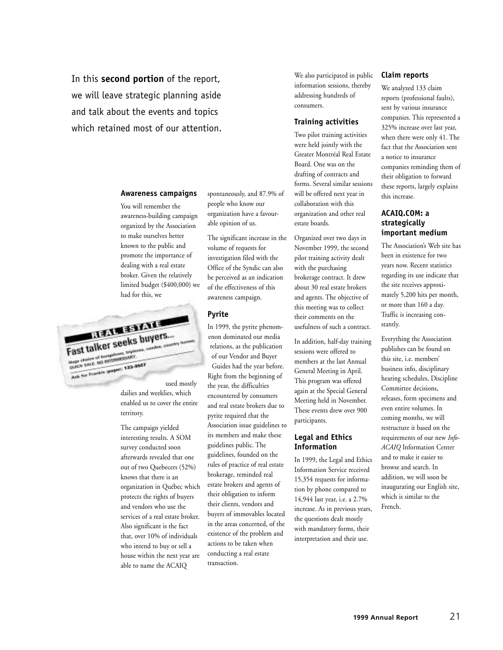In this **second portion** of the report, we will leave strategic planning aside and talk about the events and topics which retained most of our attention.

### **Awareness campaigns**

You will remember the awareness-building campaign organized by the Association to make ourselves better known to the public and promote the importance of dealing with a real estate broker. Given the relatively limited budget (\$400,000) we had for this, we

**EXTREMENTS** Fast talker seeks buyers... Fast talker seeks buyers **DUFLIS SALE NO BITSHIKAN**<br>OURCIS SALE NO BITSHIKAN<br>Adk for Frankle (Pager), 123-4567 used mostly

dailies and weeklies, which enabled us to cover the entire territory.

The campaign yielded interesting results. A SOM survey conducted soon afterwards revealed that one out of two Quebecers (52%) knows that there is an organization in Québec which protects the rights of buyers and vendors who use the services of a real estate broker. Also significant is the fact that, over 10% of individuals who intend to buy or sell a house within the next year are able to name the ACAIQ

spontaneously, and 87.9% of people who know our organization have a favourable opinion of us.

The significant increase in the volume of requests for investigation filed with the Office of the Syndic can also be perceived as an indication of the effectiveness of this awareness campaign.

# **Pyrite**

In 1999, the pyrite phenomenon dominated our media relations, as the publication of our Vendor and Buyer Guides had the year before. Right from the beginning of the year, the difficulties encountered by consumers and real estate brokers due to pyrite required that the Association issue guidelines to its members and make these guidelines public. The guidelines, founded on the rules of practice of real estate brokerage, reminded real estate brokers and agents of their obligation to inform their clients, vendors and buyers of immovables located in the areas concerned, of the existence of the problem and actions to be taken when conducting a real estate transaction.

We also participated in public information sessions, thereby addressing hundreds of consumers.

### **Training activities**

Two pilot training activities were held jointly with the Greater Montréal Real Estate Board. One was on the drafting of contracts and forms. Several similar sessions will be offered next year in collaboration with this organization and other real estate boards.

Organized over two days in November 1999, the second pilot training activity dealt with the purchasing brokerage contract. It drew about 30 real estate brokers and agents. The objective of this meeting was to collect their comments on the usefulness of such a contract.

In addition, half-day training sessions were offered to members at the last Annual General Meeting in April. This program was offered again at the Special General Meeting held in November. These events drew over 900 participants.

# **Legal and Ethics Information**

In 1999, the Legal and Ethics Information Service received 15,354 requests for information by phone compared to 14,944 last year, i.e. a 2.7% increase. As in previous years, the questions dealt mostly with mandatory forms, their interpretation and their use.

### **Claim reports**

We analyzed 133 claim reports (professional faults), sent by various insurance companies. This represented a 325% increase over last year, when there were only 41. The fact that the Association sent a notice to insurance companies reminding them of their obligation to forward these reports, largely explains this increase.

# **ACAIQ.COM: a strategically important medium**

The Association's Web site has been in existence for two years now. Recent statistics regarding its use indicate that the site receives approximately 5,200 hits per month, or more than 160 a day. Traffic is increasing constantly.

Everything the Association publishes can be found on this site, i.e. members' business info, disciplinary hearing schedules, Discipline Committee decisions, releases, form specimens and even entire volumes. In coming months, we will restructure it based on the requirements of our new *Info-ACAIQ* Information Center and to make it easier to browse and search. In addition, we will soon be inaugurating our English site, which is similar to the French.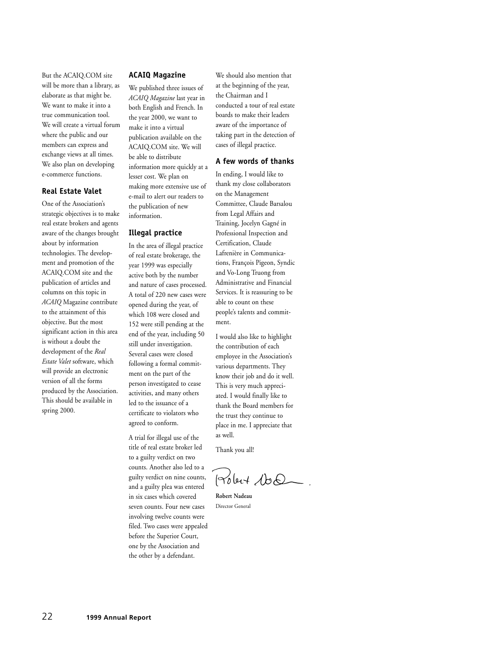But the ACAIQ.COM site will be more than a library, as elaborate as that might be. We want to make it into a true communication tool. We will create a virtual forum where the public and our members can express and exchange views at all times. We also plan on developing e-commerce functions.

## **Real Estate Valet**

One of the Association's strategic objectives is to make real estate brokers and agents aware of the changes brought about by information technologies. The development and promotion of the ACAIQ.COM site and the publication of articles and columns on this topic in *ACAIQ* Magazine contribute to the attainment of this objective. But the most significant action in this area is without a doubt the development of the *Real Estate Valet* software, which will provide an electronic version of all the forms produced by the Association. This should be available in spring 2000.

## **ACAIQ Magazine**

We published three issues of *ACAIQ Magazine* last year in both English and French. In the year 2000, we want to make it into a virtual publication available on the ACAIQ.COM site. We will be able to distribute information more quickly at a lesser cost. We plan on making more extensive use of e-mail to alert our readers to the publication of new information.

### **Illegal practice**

In the area of illegal practice of real estate brokerage, the year 1999 was especially active both by the number and nature of cases processed. A total of 220 new cases were opened during the year, of which 108 were closed and 152 were still pending at the end of the year, including 50 still under investigation. Several cases were closed following a formal commitment on the part of the person investigated to cease activities, and many others led to the issuance of a certificate to violators who agreed to conform.

A trial for illegal use of the title of real estate broker led to a guilty verdict on two counts. Another also led to a guilty verdict on nine counts, and a guilty plea was entered in six cases which covered seven counts. Four new cases involving twelve counts were filed. Two cases were appealed before the Superior Court, one by the Association and the other by a defendant.

We should also mention that at the beginning of the year, the Chairman and I conducted a tour of real estate boards to make their leaders aware of the importance of taking part in the detection of cases of illegal practice.

### **A few words of thanks**

In ending, I would like to thank my close collaborators on the Management Committee, Claude Barsalou from Legal Affairs and Training, Jocelyn Gagné in Professional Inspection and Certification, Claude Lafrenière in Communications, François Pigeon, Syndic and Vo-Long Truong from Administrative and Financial Services. It is reassuring to be able to count on these people's talents and commitment.

I would also like to highlight the contribution of each employee in the Association's various departments. They know their job and do it well. This is very much appreciated. I would finally like to thank the Board members for the trust they continue to place in me. I appreciate that as well.

Thank you all!

Polent 100.

**Robert Nadeau** Director General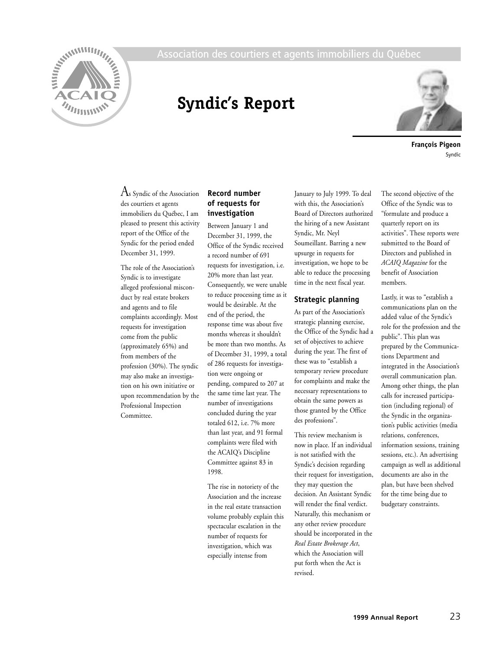

# **Syndic's Report**



**François Pigeon** Syndic

 $A$ s Syndic of the Association des courtiers et agents immobiliers du Québec, I am pleased to present this activity report of the Office of the Syndic for the period ended December 31, 1999.

The role of the Association's Syndic is to investigate alleged professional misconduct by real estate brokers and agents and to file complaints accordingly. Most requests for investigation come from the public (approximately 65%) and from members of the profession (30%). The syndic may also make an investigation on his own initiative or upon recommendation by the Professional Inspection Committee.

## **Record number of requests for investigation**

Between January 1 and December 31, 1999, the Office of the Syndic received a record number of 691 requests for investigation, i.e. 20% more than last year. Consequently, we were unable to reduce processing time as it would be desirable. At the end of the period, the response time was about five months whereas it shouldn't be more than two months. As of December 31, 1999, a total of 286 requests for investigation were ongoing or pending, compared to 207 at the same time last year. The number of investigations concluded during the year totaled 612, i.e. 7% more than last year, and 91 formal complaints were filed with the ACAIQ's Discipline Committee against 83 in 1998.

The rise in notoriety of the Association and the increase in the real estate transaction volume probably explain this spectacular escalation in the number of requests for investigation, which was especially intense from

January to July 1999. To deal with this, the Association's Board of Directors authorized the hiring of a new Assistant Syndic, Mr. Neyl Soumeillant. Barring a new upsurge in requests for investigation, we hope to be able to reduce the processing time in the next fiscal year.

### **Strategic planning**

As part of the Association's strategic planning exercise, the Office of the Syndic had a set of objectives to achieve during the year. The first of these was to "establish a temporary review procedure for complaints and make the necessary representations to obtain the same powers as those granted by the Office des professions".

This review mechanism is now in place. If an individual is not satisfied with the Syndic's decision regarding their request for investigation, they may question the decision. An Assistant Syndic will render the final verdict. Naturally, this mechanism or any other review procedure should be incorporated in the *Real Estate Brokerage Act*, which the Association will put forth when the Act is revised.

The second objective of the Office of the Syndic was to "formulate and produce a quarterly report on its activities". These reports were submitted to the Board of Directors and published in *ACAIQ Magazine* for the benefit of Association members.

Lastly, it was to "establish a communications plan on the added value of the Syndic's role for the profession and the public". This plan was prepared by the Communications Department and integrated in the Association's overall communication plan. Among other things, the plan calls for increased participation (including regional) of the Syndic in the organization's public activities (media relations, conferences, information sessions, training sessions, etc.). An advertising campaign as well as additional documents are also in the plan, but have been shelved for the time being due to budgetary constraints.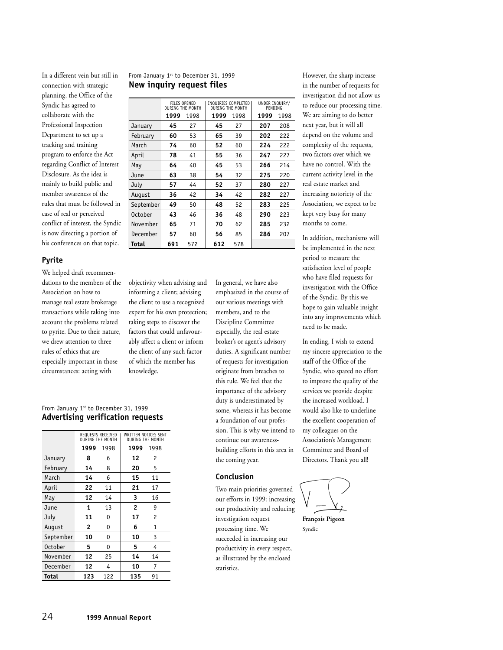In a different vein but still in connection with strategic planning, the Office of the Syndic has agreed to collaborate with the Professional Inspection Department to set up a tracking and training program to enforce the Act regarding Conflict of Interest Disclosure. As the idea is mainly to build public and member awareness of the rules that must be followed in case of real or perceived conflict of interest, the Syndic is now directing a portion of his conferences on that topic.

## **Pyrite**

We helped draft recommendations to the members of the Association on how to manage real estate brokerage transactions while taking into account the problems related to pyrite. Due to their nature, we drew attention to three rules of ethics that are especially important in those circumstances: acting with

# From January 1st to December 31, 1999 **New inquiry request files**

|                | FILES OPENED<br>DURING THE MONTH |      | INQUIRIES COMPLETED<br>DURING THE MONTH |      | UNDER INQUIRY/<br>PENDING |      |
|----------------|----------------------------------|------|-----------------------------------------|------|---------------------------|------|
|                | 1999                             | 1998 | 1999                                    | 1998 | 1999                      | 1998 |
| January        | 45                               | 27   | 45                                      | 27   | 207                       | 208  |
| February       | 60                               | 53   | 65                                      | 39   | 202                       | 222  |
| March          | 74                               | 60   | 52                                      | 60   | 224                       | 222  |
| April          | 78                               | 41   | 55                                      | 36   | 247                       | 227  |
| May            | 64                               | 40   | 45                                      | 53   | 266                       | 214  |
| June           | 63                               | 38   | 54                                      | 32   | 275                       | 220  |
| July           | 57                               | 44   | 52                                      | 37   | 280                       | 227  |
| August         | 36                               | 42   | 34                                      | 42   | 282                       | 227  |
| September      | 49                               | 50   | 48                                      | 52   | 283                       | 225  |
| <b>October</b> | 43                               | 46   | 36                                      | 48   | 290                       | 223  |
| November       | 65                               | 71   | 70                                      | 62   | 285                       | 232  |
| December       | 57                               | 60   | 56                                      | 85   | 286                       | 207  |
| <b>Total</b>   | 691                              | 572  | 612                                     | 578  |                           |      |

objectivity when advising and informing a client; advising the client to use a recognized expert for his own protection; taking steps to discover the factors that could unfavourably affect a client or inform the client of any such factor of which the member has knowledge.

## From January 1st to December 31, 1999 **Advertising verification requests**

|           | REQUESTS RECEIVED<br>DURING THE MONTH |      | <b>WRITTEN NOTICES SENT</b><br>DURING THE MONTH |      |
|-----------|---------------------------------------|------|-------------------------------------------------|------|
|           | 1999                                  | 1998 | 1999                                            | 1998 |
| January   | 8                                     | 6    | 12                                              | 2    |
| February  | 14                                    | 8    | 20                                              | 5    |
| March     | 14                                    | 6    | 15                                              | 11   |
| April     | 22                                    | 11   | 21                                              | 17   |
| May       | 12                                    | 14   | 3                                               | 16   |
| June      | 1                                     | 13   | 2                                               | 9    |
| July      | 11                                    | 0    | 17                                              | 2    |
| August    | 2                                     | 0    | 6                                               | 1    |
| September | 10                                    | 0    | 10                                              | 3    |
| October   | 5                                     | 0    | 5                                               | 4    |
| November  | 12                                    | 25   | 14                                              | 14   |
| December  | 12                                    | 4    | 10                                              | 7    |
| Total     | 123                                   | 122  | 135                                             | 91   |

In general, we have also emphasized in the course of our various meetings with members, and to the Discipline Committee especially, the real estate broker's or agent's advisory duties. A significant number of requests for investigation originate from breaches to this rule. We feel that the importance of the advisory duty is underestimated by some, whereas it has become a foundation of our profession. This is why we intend to continue our awarenessbuilding efforts in this area in

### **Conclusion**

the coming year.

Two main priorities governed our efforts in 1999: increasing our productivity and reducing investigation request processing time. We succeeded in increasing our productivity in every respect, as illustrated by the enclosed statistics.

However, the sharp increase in the number of requests for investigation did not allow us to reduce our processing time. We are aiming to do better next year, but it will all depend on the volume and complexity of the requests, two factors over which we have no control. With the current activity level in the real estate market and increasing notoriety of the Association, we expect to be kept very busy for many months to come.

In addition, mechanisms will be implemented in the next period to measure the satisfaction level of people who have filed requests for investigation with the Office of the Syndic. By this we hope to gain valuable insight into any improvements which need to be made.

In ending, I wish to extend my sincere appreciation to the staff of the Office of the Syndic, who spared no effort to improve the quality of the services we provide despite the increased workload. I would also like to underline the excellent cooperation of my colleagues on the Association's Management Committee and Board of Directors. Thank you all!



Syndic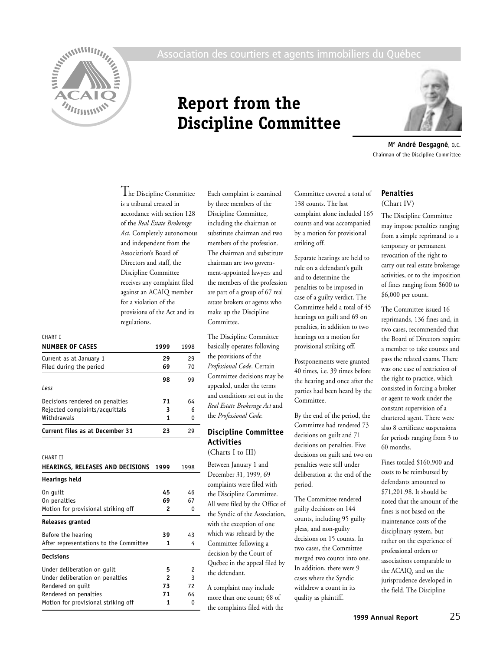

# **Report from the Discipline Committee**



**Me André Desgagné**, Q.C. Chairman of the Discipline Committee

The Discipline Committee is a tribunal created in accordance with section 128 of the *Real Estate Brokerage Act*. Completely autonomous and independent from the Association's Board of Directors and staff, the Discipline Committee receives any complaint filed against an ACAIQ member for a violation of the provisions of the Act and its regulations.

### CHART I

| <b>NUMBER OF CASES</b>                 | 1999 | 1998 |
|----------------------------------------|------|------|
| Current as at January 1                | 29   | 29   |
| Filed during the period                | 69   | 70   |
|                                        | 98   | 99   |
| Less                                   |      |      |
| Decisions rendered on penalties        | 71   | 64   |
| Rejected complaints/acquittals         | 3    | 6    |
| Withdrawals                            | 1    | 0    |
| <b>Current files as at December 31</b> | 23   | 29   |
|                                        |      |      |
| <b>CHART II</b>                        |      |      |
| HEARINGS, RELEASES AND DECISIONS       | 1999 | 1998 |
| <b>Hearings held</b>                   |      |      |
| On quilt                               | 45   | 46   |
| On penalties                           | 69   | 67   |
| Motion for provisional striking off    | 2    | 0    |
| Releases granted                       |      |      |

### **Decisions**

| DECISIONS                           |    |    |
|-------------------------------------|----|----|
| Under deliberation on quilt         | 5  | 2  |
| Under deliberation on penalties     | 2  | ર  |
| Rendered on quilt                   | 73 | 72 |
| Rendered on penalties               | 71 | 64 |
| Motion for provisional striking off | 1  | 0  |
|                                     |    |    |

Before the hearing **39** 43 After representations to the Committee 1 4 Each complaint is examined by three members of the Discipline Committee, including the chairman or substitute chairman and two members of the profession. The chairman and substitute chairman are two government-appointed lawyers and the members of the profession are part of a group of 67 real estate brokers or agents who make up the Discipline Committee.

The Discipline Committee basically operates following the provisions of the *Professional Code*. Certain Committee decisions may be appealed, under the terms and conditions set out in the *Real Estate Brokerage Act* and the *Professional Code.*

## **Discipline Committee Activities** (Charts I to III)

Between January 1 and December 31, 1999, 69 complaints were filed with the Discipline Committee. All were filed by the Office of the Syndic of the Association, with the exception of one which was reheard by the Committee following a decision by the Court of Québec in the appeal filed by the defendant.

A complaint may include more than one count; 68 of the complaints filed with the Committee covered a total of 138 counts. The last complaint alone included 165 counts and was accompanied by a motion for provisional striking off.

Separate hearings are held to rule on a defendant's guilt and to determine the penalties to be imposed in case of a guilty verdict. The Committee held a total of 45 hearings on guilt and 69 on penalties, in addition to two hearings on a motion for provisional striking off.

Postponements were granted 40 times, i.e. 39 times before the hearing and once after the parties had been heard by the Committee.

By the end of the period, the Committee had rendered 73 decisions on guilt and 71 decisions on penalties. Five decisions on guilt and two on penalties were still under deliberation at the end of the period.

The Committee rendered guilty decisions on 144 counts, including 95 guilty pleas, and non-guilty decisions on 15 counts. In two cases, the Committee merged two counts into one. In addition, there were 9 cases where the Syndic withdrew a count in its quality as plaintiff.

### **Penalties** (Chart IV)

The Discipline Committee may impose penalties ranging from a simple reprimand to a temporary or permanent revocation of the right to carry out real estate brokerage activities, or to the imposition of fines ranging from \$600 to \$6,000 per count.

The Committee issued 16 reprimands, 136 fines and, in two cases, recommended that the Board of Directors require a member to take courses and pass the related exams. There was one case of restriction of the right to practice, which consisted in forcing a broker or agent to work under the constant supervision of a chartered agent. There were also 8 certificate suspensions for periods ranging from 3 to 60 months.

Fines totaled \$160,900 and costs to be reimbursed by defendants amounted to \$71,201.98. It should be noted that the amount of the fines is not based on the maintenance costs of the disciplinary system, but rather on the experience of professional orders or associations comparable to the ACAIQ, and on the jurisprudence developed in the field. The Discipline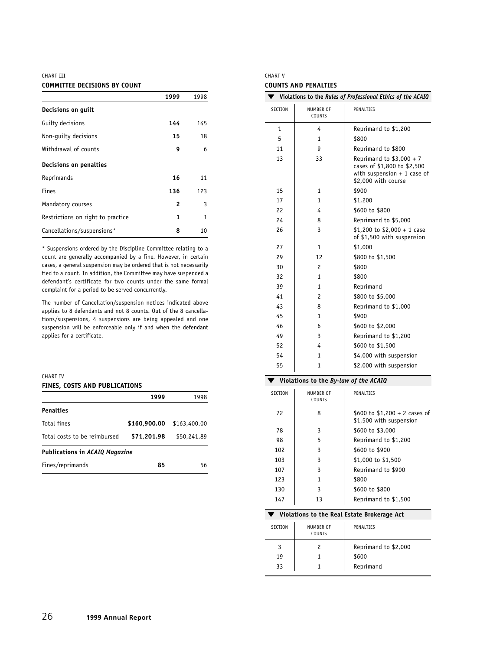### CHART III **COMMITTEE DECISIONS BY COUNT**

|                                   | 1999 | 1998         |
|-----------------------------------|------|--------------|
| Decisions on guilt                |      |              |
| Guilty decisions                  | 144  | 145          |
| Non-quilty decisions              | 15   | 18           |
| Withdrawal of counts              | 9    | 6            |
| Decisions on penalties            |      |              |
| Reprimands                        | 16   | 11           |
| <b>Fines</b>                      | 136  | 123          |
| Mandatory courses                 | 2    | 3            |
| Restrictions on right to practice | 1    | $\mathbf{1}$ |
| Cancellations/suspensions*        | 8    | 10           |

\* Suspensions ordered by the Discipline Committee relating to a count are generally accompanied by a fine. However, in certain cases, a general suspension may be ordered that is not necessarily tied to a count. In addition, the Committee may have suspended a defendant's certificate for two counts under the same formal complaint for a period to be served concurrently.

The number of Cancellation/suspension notices indicated above applies to 8 defendants and not 8 counts. Out of the 8 cancellations/suspensions, 4 suspensions are being appealed and one suspension will be enforceable only if and when the defendant applies for a certificate.

### CHART IV **FINES, COSTS AND PUBLICATIONS**

|                                       | 1999         | 1998         |
|---------------------------------------|--------------|--------------|
| <b>Penalties</b>                      |              |              |
| Total fines                           | \$160,900.00 | \$163,400.00 |
| Total costs to be reimbursed          | \$71,201.98  | \$50,241.89  |
| <b>Publications in ACAIQ Magazine</b> |              |              |
| Fines/reprimands                      | 85           | 56           |

| <b>CHART V</b>              |  |
|-----------------------------|--|
| <b>COUNTS AND PENALTIES</b> |  |

| Violations to the Rules of Professional Ethics of the ACAIQ |                     |                                                                                                                 |  |
|-------------------------------------------------------------|---------------------|-----------------------------------------------------------------------------------------------------------------|--|
| <b>SECTION</b>                                              | NUMBER OF<br>COUNTS | PENALTIES                                                                                                       |  |
| $\mathbf{1}$                                                | 4                   | Reprimand to \$1,200                                                                                            |  |
| 5                                                           | $\mathbf{1}$        | \$800                                                                                                           |  |
| 11                                                          | 9                   | Reprimand to \$800                                                                                              |  |
| 13                                                          | 33                  | Reprimand to $$3,000 + 7$<br>cases of \$1,800 to \$2,500<br>with suspension $+1$ case of<br>\$2,000 with course |  |
| 15                                                          | $\mathbf{1}$        | \$900                                                                                                           |  |
| 17                                                          | 1                   | \$1,200                                                                                                         |  |
| 22                                                          | 4                   | \$600 to \$800                                                                                                  |  |
| 24                                                          | 8                   | Reprimand to \$5,000                                                                                            |  |
| 26                                                          | 3                   | \$1,200 to \$2,000 + 1 case<br>of \$1,500 with suspension                                                       |  |
| 27                                                          | $\mathbf{1}$        | \$1,000                                                                                                         |  |
| 29                                                          | 12                  | \$800 to \$1,500                                                                                                |  |
| 30                                                          | $\overline{c}$      | \$800                                                                                                           |  |
| 32                                                          | $\mathbf{1}$        | \$800                                                                                                           |  |
| 39                                                          | $\mathbf{1}$        | Reprimand                                                                                                       |  |
| 41                                                          | 2                   | \$800 to \$5,000                                                                                                |  |
| 43                                                          | 8                   | Reprimand to \$1,000                                                                                            |  |
| 45                                                          | $\mathbf{1}$        | \$900                                                                                                           |  |
| 46                                                          | 6                   | \$600 to \$2,000                                                                                                |  |
| 49                                                          | 3                   | Reprimand to \$1,200                                                                                            |  |
| 52                                                          | 4                   | \$600 to \$1,500                                                                                                |  |
| 54                                                          | $\mathbf{1}$        | \$4,000 with suspension                                                                                         |  |
| 55                                                          | $\mathbf{1}$        | \$2,000 with suspension                                                                                         |  |

# **Violations to the** *By-law of the ACAIQ*

| <b>SECTION</b> | NUMBER OF<br>COUNTS | PENALTIES                                                 |
|----------------|---------------------|-----------------------------------------------------------|
| 72             | 8                   | \$600 to $$1,200 + 2$ cases of<br>\$1,500 with suspension |
| 78             | 3                   | \$600 to \$3,000                                          |
| 98             | 5                   | Reprimand to \$1,200                                      |
| 102            | 3                   | \$600 to \$900                                            |
| 103            | 3                   | \$1,000 to \$1,500                                        |
| 107            | 3                   | Reprimand to \$900                                        |
| 123            | 1                   | \$800                                                     |
| 130            | 3                   | \$600 to \$800                                            |
| 147            | 13                  | Reprimand to \$1,500                                      |
|                |                     |                                                           |

## **Violations to the Real Estate Brokerage Act**

| <b>SECTION</b> | NUMBER OF<br><b>COUNTS</b> | PENALTIES                                  |
|----------------|----------------------------|--------------------------------------------|
| 3<br>19<br>33  | 2                          | Reprimand to \$2,000<br>\$600<br>Reprimand |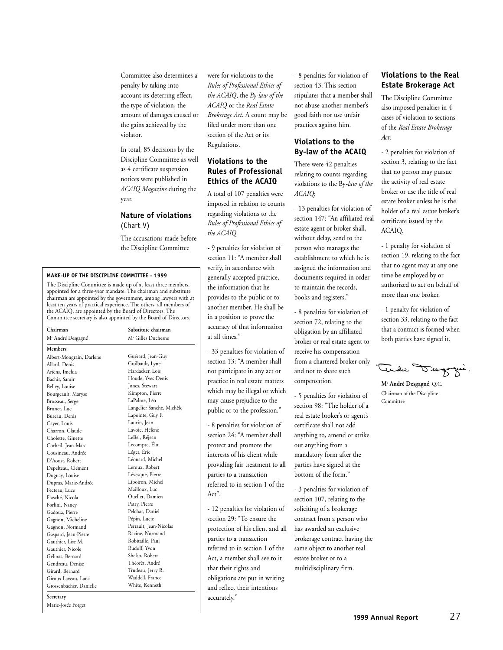Committee also determines a penalty by taking into account its deterring effect, the type of violation, the amount of damages caused or the gains achieved by the violator.

In total, 85 decisions by the Discipline Committee as well as 4 certificate suspension notices were published in *ACAIQ Magazine* during the year.

# **Nature of violations** (Chart V)

The accusations made before the Discipline Committee

### **MAKE-UP OF THE DISCIPLINE COMMITTEE - 1999**

The Discipline Committee is made up of at least three members, appointed for a three-year mandate. The chairman and substitute chairman are appointed by the government, among lawyers with at least ten years of practical experience. The others, all members of the ACAIQ, are appointed by the Board of Directors. The Committee secretary is also appointed by the Board of Directors.

| Chairman                      | Substitute chairman            |  |
|-------------------------------|--------------------------------|--|
| M <sup>e</sup> André Desgagné | M <sup>e</sup> Gilles Duchesne |  |
| Members                       |                                |  |
| Albert-Mongrain, Darlene      | Guérard, Jean-Guy              |  |
| Allard, Denis                 | Guilbault, Lyne                |  |
| Ariëns, Imelda                | Hardacker, Lois                |  |
| Bachir, Samir                 | Houde, Yves-Denis              |  |
| Belley, Louise                | Jones, Stewart                 |  |
| Bourgeault, Maryse            | Kimpton, Pierre                |  |
| Brosseau, Serge               | LaPalme, Léo                   |  |
| Brunet, Luc                   | Langelier Sanche, Michèle      |  |
| Bureau, Denis                 | Lapointe, Guy F.               |  |
| Cayer, Louis                  | Laurin, Jean                   |  |
| Charron, Claude               | Lavoie, Hélène                 |  |
| Cholette, Ginette             | LeBel, Réjean                  |  |
| Corbeil, Jean-Marc            | Lecompte, Éloi                 |  |
| Cousineau, Andrée             | Léger, Éric                    |  |
| D'Aoust, Robert               | Léonard, Michel                |  |
| Depelteau, Clément            | Leroux, Robert                 |  |
| Duguay, Louise                | Lévesque, Pierre               |  |
| Dupras, Marie-Andrée          | Liboiron, Michel               |  |
| Fecteau, Luce                 | Mailloux. Luc                  |  |
| Fiasché, Nicola               | Ouellet, Damien                |  |
| Forlini, Nancy                | Patry, Pierre                  |  |
| Gadoua, Pierre                | Pelchat, Daniel                |  |
| Gagnon, Micheline             | Pépin, Lucie                   |  |
| Gagnon, Normand               | Perrault, Jean-Nicolas         |  |
| Gaspard, Jean-Pierre          | Racine, Normand                |  |
| Gauthier, Lise M.             | Robitaille, Paul               |  |
| Gauthier, Nicole              | Rudolf, Yvon                   |  |
| Gélinas, Bernard              | Shelso, Robert                 |  |
| Gendreau, Denise              | Théorêt, André                 |  |
| Girard. Bernard               | Trudeau, Jerry R.              |  |
| Giroux Laveau, Lana           | Waddell, France                |  |
| Grossenbacher, Danielle       | White, Kenneth                 |  |
| Secretary                     |                                |  |

Marie-Josée Forget

were for violations to the *Rules of Professional Ethics of the ACAIQ*, the *By-law of the ACAIQ* or the *Real Estate Brokerage Act*. A count may be filed under more than one section of the Act or its Regulations.

# **Violations to the Rules of Professional Ethics of the ACAIQ**

A total of 107 penalties were imposed in relation to counts regarding violations to the *Rules of Professional Ethics of the ACAIQ.*

- 9 penalties for violation of section 11: "A member shall verify, in accordance with generally accepted practice, the information that he provides to the public or to another member. He shall be in a position to prove the accuracy of that information at all times."

- 33 penalties for violation of section 13: "A member shall not participate in any act or practice in real estate matters which may be illegal or which may cause prejudice to the public or to the profession*.*"

- 8 penalties for violation of section 24: "A member shall protect and promote the interests of his client while providing fair treatment to all parties to a transaction referred to in section 1 of the Act".

- 12 penalties for violation of section 29: "To ensure the protection of his client and all parties to a transaction referred to in section 1 of the Act, a member shall see to it that their rights and obligations are put in writing and reflect their intentions accurately."

- 8 penalties for violation of section 43: This section stipulates that a member shall not abuse another member's good faith nor use unfair practices against him.

# **Violations to the By-law of the ACAIQ**

There were 42 penalties relating to counts regarding violations to the By*-law of the ACAIQ*:

- 13 penalties for violation of section 147: "An affiliated real estate agent or broker shall, without delay, send to the person who manages the establishment to which he is assigned the information and documents required in order to maintain the records, books and registers."

- 8 penalties for violation of section 72, relating to the obligation by an affiliated broker or real estate agent to receive his compensation from a chartered broker only and not to share such compensation.

- 5 penalties for violation of section 98: "The holder of a real estate broker's or agent's certificate shall not add anything to, amend or strike out anything from a mandatory form after the parties have signed at the bottom of the form."

- 3 penalties for violation of section 107, relating to the soliciting of a brokerage contract from a person who has awarded an exclusive brokerage contract having the same object to another real estate broker or to a multidisciplinary firm.

# **Violations to the Real Estate Brokerage Act**

The Discipline Committee also imposed penalties in 4 cases of violation to sections of the *Real Estate Brokerage Act*:

- 2 penalties for violation of section 3, relating to the fact that no person may pursue the activity of real estate broker or use the title of real estate broker unless he is the holder of a real estate broker's certificate issued by the ACAIQ.

- 1 penalty for violation of section 19, relating to the fact that no agent may at any one time be employed by or authorized to act on behalf of more than one broker.

- 1 penalty for violation of section 33, relating to the fact that a contract is formed when both parties have signed it.

<u>t</u>endis Dugoque

**Me André Desgagné**, Q.C. Chairman of the Discipline Committee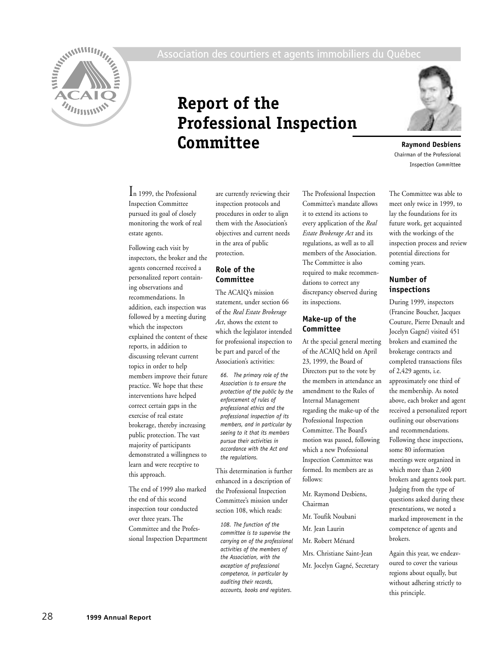

# **Report of the Professional Inspection Committee Raymond Desbiens**



Chairman of the Professional Inspection Committee

In 1999, the Professional Inspection Committee pursued its goal of closely monitoring the work of real estate agents.

Following each visit by inspectors, the broker and the agents concerned received a personalized report containing observations and recommendations. In addition, each inspection was followed by a meeting during which the inspectors explained the content of these reports, in addition to discussing relevant current topics in order to help members improve their future practice. We hope that these interventions have helped correct certain gaps in the exercise of real estate brokerage, thereby increasing public protection. The vast majority of participants demonstrated a willingness to learn and were receptive to this approach.

The end of 1999 also marked the end of this second inspection tour conducted over three years. The Committee and the Professional Inspection Department are currently reviewing their inspection protocols and procedures in order to align them with the Association's objectives and current needs in the area of public protection.

# **Role of the Committee**

The ACAIQ's mission statement, under section 66 of the *Real Estate Brokerage Act*, shows the extent to which the legislator intended for professional inspection to be part and parcel of the Association's activities:

*66. The primary role of the Association is to ensure the protection of the public by the enforcement of rules of professional ethics and the professional inspection of its members, and in particular by seeing to it that its members pursue their activities in accordance with the Act and the regulations.*

This determination is further enhanced in a description of the Professional Inspection Committee's mission under section 108, which reads:

*108. The function of the committee is to supervise the carrying on of the professional activities of the members of the Association, with the exception of professional competence, in particular by auditing their records, accounts, books and registers.*

The Professional Inspection Committee's mandate allows it to extend its actions to every application of the *Real Estate Brokerage Act* and its regulations, as well as to all members of the Association. The Committee is also required to make recommendations to correct any discrepancy observed during its inspections.

# **Make-up of the Committee**

At the special general meeting of the ACAIQ held on April 23, 1999, the Board of Directors put to the vote by the members in attendance an amendment to the Rules of Internal Management regarding the make-up of the Professional Inspection Committee. The Board's motion was passed, following which a new Professional Inspection Committee was formed. Its members are as follows:

Mr. Raymond Desbiens, Chairman Mr. Toufik Noubani

Mr. Jean Laurin

Mr. Robert Ménard

Mrs. Christiane Saint-Jean

Mr. Jocelyn Gagné, Secretary

The Committee was able to meet only twice in 1999, to lay the foundations for its future work, get acquainted with the workings of the inspection process and review potential directions for coming years.

# **Number of inspections**

During 1999, inspectors (Francine Boucher, Jacques Couture, Pierre Denault and Jocelyn Gagné) visited 451 brokers and examined the brokerage contracts and completed transactions files of 2,429 agents, i.e. approximately one third of the membership. As noted above, each broker and agent received a personalized report outlining our observations and recommendations. Following these inspections, some 80 information meetings were organized in which more than 2,400 brokers and agents took part. Judging from the type of questions asked during these presentations, we noted a marked improvement in the competence of agents and brokers.

Again this year, we endeavoured to cover the various regions about equally, but without adhering strictly to this principle.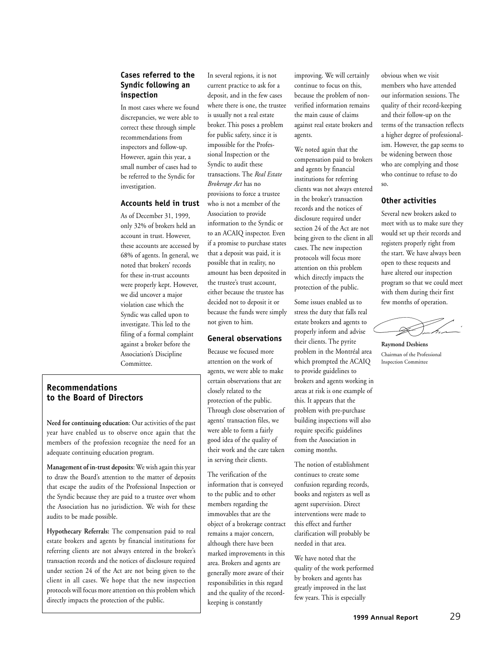# **Cases referred to the Syndic following an inspection**

In most cases where we found discrepancies, we were able to correct these through simple recommendations from inspectors and follow-up. However, again this year, a small number of cases had to be referred to the Syndic for investigation.

### **Accounts held in trust**

As of December 31, 1999, only 32% of brokers held an account in trust. However, these accounts are accessed by 68% of agents. In general, we noted that brokers' records for these in-trust accounts were properly kept. However, we did uncover a major violation case which the Syndic was called upon to investigate. This led to the filing of a formal complaint against a broker before the Association's Discipline Committee.

# **Recommendations to the Board of Directors**

**Need for continuing education**: Our activities of the past year have enabled us to observe once again that the members of the profession recognize the need for an adequate continuing education program.

**Management of in-trust deposits**: We wish again this year to draw the Board's attention to the matter of deposits that escape the audits of the Professional Inspection or the Syndic because they are paid to a trustee over whom the Association has no jurisdiction. We wish for these audits to be made possible.

**Hypothecary Referrals:** The compensation paid to real estate brokers and agents by financial institutions for referring clients are not always entered in the broker's transaction records and the notices of disclosure required under section 24 of the Act are not being given to the client in all cases. We hope that the new inspection protocols will focus more attention on this problem which directly impacts the protection of the public.

In several regions, it is not current practice to ask for a deposit, and in the few cases where there is one, the trustee is usually not a real estate broker. This poses a problem for public safety, since it is impossible for the Professional Inspection or the Syndic to audit these transactions. The *Real Estate Brokerage Act* has no provisions to force a trustee who is not a member of the Association to provide information to the Syndic or to an ACAIQ inspector. Even if a promise to purchase states that a deposit was paid, it is possible that in reality, no amount has been deposited in the trustee's trust account, either because the trustee has decided not to deposit it or because the funds were simply not given to him.

### **General observations**

Because we focused more attention on the work of agents, we were able to make certain observations that are closely related to the protection of the public. Through close observation of agents' transaction files, we were able to form a fairly good idea of the quality of their work and the care taken in serving their clients.

The verification of the information that is conveyed to the public and to other members regarding the immovables that are the object of a brokerage contract remains a major concern, although there have been marked improvements in this area. Brokers and agents are generally more aware of their responsibilities in this regard and the quality of the recordkeeping is constantly

improving. We will certainly continue to focus on this, because the problem of nonverified information remains the main cause of claims against real estate brokers and agents.

We noted again that the compensation paid to brokers and agents by financial institutions for referring clients was not always entered in the broker's transaction records and the notices of disclosure required under section 24 of the Act are not being given to the client in all cases. The new inspection protocols will focus more attention on this problem which directly impacts the protection of the public.

Some issues enabled us to stress the duty that falls real estate brokers and agents to properly inform and advise their clients. The pyrite problem in the Montréal area which prompted the ACAIQ to provide guidelines to brokers and agents working in areas at risk is one example of this. It appears that the problem with pre-purchase building inspections will also require specific guidelines from the Association in coming months.

The notion of establishment continues to create some confusion regarding records, books and registers as well as agent supervision. Direct interventions were made to this effect and further clarification will probably be needed in that area.

We have noted that the quality of the work performed by brokers and agents has greatly improved in the last few years. This is especially

obvious when we visit members who have attended our information sessions. The quality of their record-keeping and their follow-up on the terms of the transaction reflects a higher degree of professionalism. However, the gap seems to be widening between those who are complying and those who continue to refuse to do so.

## **Other activities**

Several new brokers asked to meet with us to make sure they would set up their records and registers properly right from the start. We have always been open to these requests and have altered our inspection program so that we could meet with them during their first few months of operation.

**Raymond Desbiens** Chairman of the Professional Inspection Committee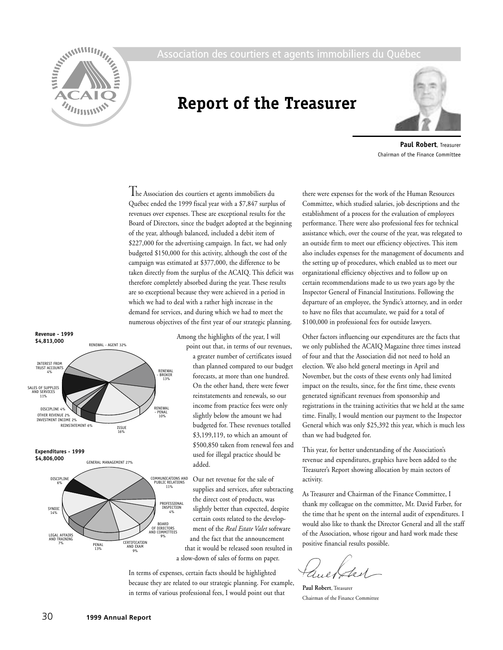

# **Report of the Treasurer**



**Paul Robert**, Treasurer Chairman of the Finance Committee

The Association des courtiers et agents immobiliers du Québec ended the 1999 fiscal year with a \$7,847 surplus of revenues over expenses. These are exceptional results for the Board of Directors, since the budget adopted at the beginning of the year, although balanced, included a debit item of \$227,000 for the advertising campaign. In fact, we had only budgeted \$150,000 for this activity, although the cost of the campaign was estimated at \$377,000, the difference to be taken directly from the surplus of the ACAIQ. This deficit was therefore completely absorbed during the year. These results are so exceptional because they were achieved in a period in which we had to deal with a rather high increase in the demand for services, and during which we had to meet the numerous objectives of the first year of our strategic planning.



GENERAL MANAGEMENT 27% **Expenditures - 1999 \$4,806,000**



Among the highlights of the year, I will point out that, in terms of our revenues, a greater number of certificates issued than planned compared to our budget forecasts, at more than one hundred. On the other hand, there were fewer reinstatements and renewals, so our income from practice fees were only slightly below the amount we had budgeted for. These revenues totalled \$3,199,119, to which an amount of \$500,850 taken from renewal fees and used for illegal practice should be added.

Our net revenue for the sale of supplies and services, after subtracting the direct cost of products, was slightly better than expected, despite certain costs related to the development of the *Real Estate Valet* software and the fact that the announcement that it would be released soon resulted in a slow-down of sales of forms on paper.

In terms of expenses, certain facts should be highlighted because they are related to our strategic planning. For example, in terms of various professional fees, I would point out that

there were expenses for the work of the Human Resources Committee, which studied salaries, job descriptions and the establishment of a process for the evaluation of employees performance. There were also professional fees for technical assistance which, over the course of the year, was relegated to an outside firm to meet our efficiency objectives. This item also includes expenses for the management of documents and the setting up of procedures, which enabled us to meet our organizational efficiency objectives and to follow up on certain recommendations made to us two years ago by the Inspector General of Financial Institutions. Following the departure of an employee, the Syndic's attorney, and in order to have no files that accumulate, we paid for a total of \$100,000 in professional fees for outside lawyers.

Other factors influencing our expenditures are the facts that we only published the ACAIQ Magazine three times instead of four and that the Association did not need to hold an election. We also held general meetings in April and November, but the costs of these events only had limited impact on the results, since, for the first time, these events generated significant revenues from sponsorship and registrations in the training activities that we held at the same time. Finally, I would mention our payment to the Inspector General which was only \$25,392 this year, which is much less than we had budgeted for.

This year, for better understanding of the Association's revenue and expenditures, graphics have been added to the Treasurer's Report showing allocation by main sectors of activity.

As Treasurer and Chairman of the Finance Committee, I thank my colleague on the committee, Mr. David Farber, for the time that he spent on the internal audit of expenditures. I would also like to thank the Director General and all the staff of the Association, whose rigour and hard work made these positive financial results possible.

**Paul Robert**, Treasurer Chairman of the Finance Committee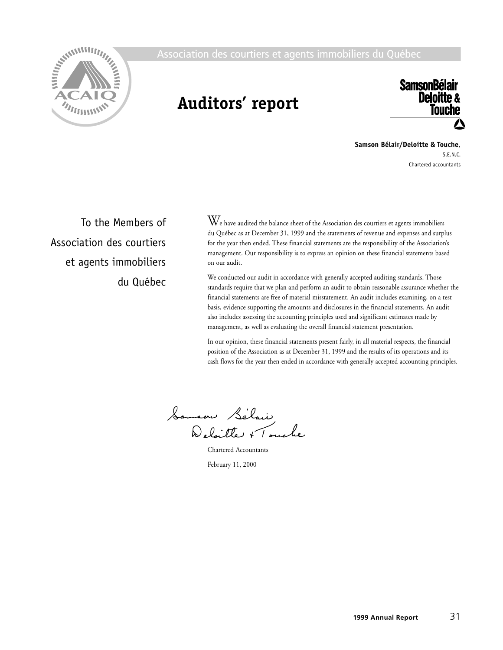

# **Auditors' report**



**Samson Bélair/Deloitte & Touche**, S.E.N.C. Chartered accountants

To the Members of Association des courtiers et agents immobiliers du Québec

 $\rm{W}_{e}$  have audited the balance sheet of the Association des courtiers et agents immobiliers du Québec as at December 31, 1999 and the statements of revenue and expenses and surplus for the year then ended. These financial statements are the responsibility of the Association's management. Our responsibility is to express an opinion on these financial statements based on our audit.

We conducted our audit in accordance with generally accepted auditing standards. Those standards require that we plan and perform an audit to obtain reasonable assurance whether the financial statements are free of material misstatement. An audit includes examining, on a test basis, evidence supporting the amounts and disclosures in the financial statements. An audit also includes assessing the accounting principles used and significant estimates made by management, as well as evaluating the overall financial statement presentation.

In our opinion, these financial statements present fairly, in all material respects, the financial position of the Association as at December 31, 1999 and the results of its operations and its cash flows for the year then ended in accordance with generally accepted accounting principles.

Samson Sélair<br>Deloitte + Touche

Chartered Accountants February 11, 2000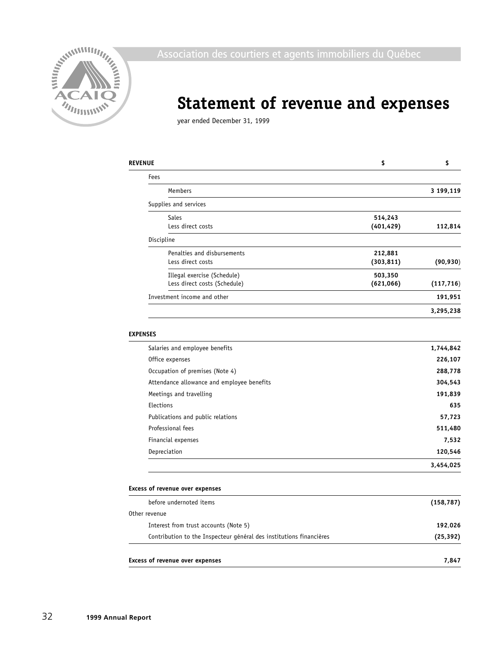

# **Statement of revenue and expenses**

year ended December 31, 1999

| <b>REVENUE</b>               | \$         | \$         |
|------------------------------|------------|------------|
| Fees                         |            |            |
| Members                      |            | 3 199,119  |
| Supplies and services        |            |            |
| <b>Sales</b>                 | 514,243    |            |
| Less direct costs            | (401, 429) | 112,814    |
| Discipline                   |            |            |
| Penalties and disbursements  | 212,881    |            |
| Less direct costs            | (303, 811) | (90, 930)  |
| Illegal exercise (Schedule)  | 503,350    |            |
| Less direct costs (Schedule) | (621,066)  | (117, 716) |
| Investment income and other  |            | 191,951    |
|                              |            | 3,295,238  |
|                              |            |            |

# **EXPENSES**

| Salaries and employee benefits             | 1,744,842 |
|--------------------------------------------|-----------|
| Office expenses                            | 226,107   |
| Occupation of premises (Note 4)            | 288,778   |
| Attendance allowance and employee benefits | 304,543   |
| Meetings and travelling                    | 191,839   |
| Elections                                  | 635       |
| Publications and public relations          | 57,723    |
| Professional fees                          | 511,480   |
| Financial expenses                         | 7,532     |
| Depreciation                               | 120,546   |
|                                            | 3,454,025 |

### **Excess of revenue over expenses**

| before undernoted items                                             | (158, 787) |
|---------------------------------------------------------------------|------------|
| Other revenue                                                       |            |
| Interest from trust accounts (Note 5)                               | 192,026    |
| Contribution to the Inspecteur général des institutions financières | (25, 392)  |
|                                                                     |            |
| Excess of revenue over expenses                                     | 7,847      |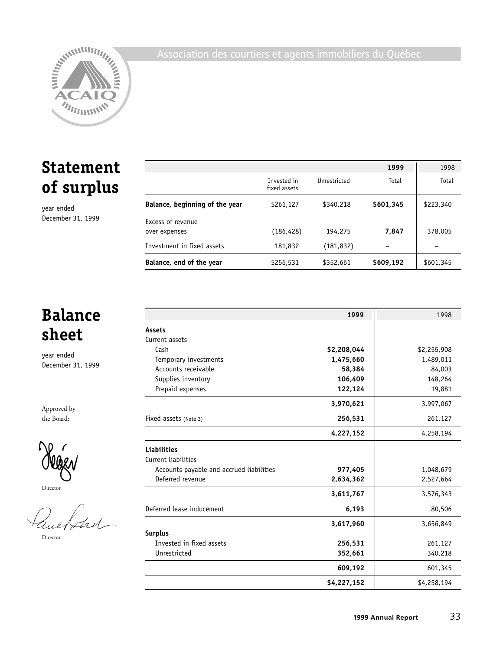



# **Statement of surplus**

year ended December 31, 1999

|                                    |                             |                                    | 1999      | 1998      |
|------------------------------------|-----------------------------|------------------------------------|-----------|-----------|
|                                    | Invested in<br>fixed assets | <i><u><b>I</b>Inrestricted</u></i> | Total     | Total     |
| Balance, beginning of the year     | \$261,127                   | \$340,218                          | \$601,345 | \$223,340 |
| Excess of revenue<br>over expenses | (186,428)                   | 194,275                            | 7,847     | 378,005   |
| Investment in fixed assets         | 181,832                     | (181,832)                          |           |           |
| Balance, end of the year           | \$256,531                   | \$352,661                          | \$609,192 | \$601,345 |

# **Balance sheet**

year ended December 31, 1999

Approved by the Board:

 $\bigcup$  Director

Quebotar

Director

|                                          | 1999        | 1998        |
|------------------------------------------|-------------|-------------|
| Assets                                   |             |             |
| Current assets                           |             |             |
| Cash                                     | \$2,208,044 | \$2,255,908 |
| Temporary investments                    | 1,475,660   | 1,489,011   |
| Accounts receivable                      | 58,384      | 84,003      |
| Supplies inventory                       | 106,409     | 148,264     |
| Prepaid expenses                         | 122,124     | 19,881      |
|                                          | 3,970,621   | 3,997,067   |
| Fixed assets (Note 3)                    | 256,531     | 261,127     |
|                                          | 4,227,152   | 4,258,194   |
| Liabilities                              |             |             |
| Current liabilities                      |             |             |
| Accounts payable and accrued liabilities | 977,405     | 1,048,679   |
| Deferred revenue                         | 2,634,362   | 2,527,664   |
|                                          | 3,611,767   | 3,576,343   |
| Deferred lease inducement                | 6,193       | 80,506      |
|                                          | 3,617,960   | 3,656,849   |
| Surplus                                  |             |             |
| Invested in fixed assets                 | 256,531     | 261,127     |
| Unrestricted                             | 352,661     | 340,218     |
|                                          | 609,192     | 601,345     |
|                                          | \$4,227,152 | \$4,258,194 |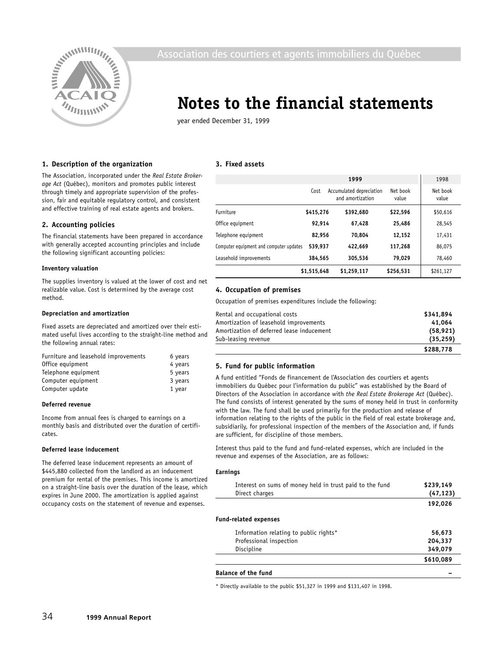

# **Notes to the financial statements**

year ended December 31, 1999

### **1. Description of the organization**

The Association, incorporated under the *Real Estate Brokerage Act* (Québec), monitors and promotes public interest through timely and appropriate supervision of the profession, fair and equitable regulatory control, and consistent and effective training of real estate agents and brokers.

### **2. Accounting policies**

The financial statements have been prepared in accordance with generally accepted accounting principles and include the following significant accounting policies:

### **Inventory valuation**

The supplies inventory is valued at the lower of cost and net realizable value. Cost is determined by the average cost method.

### **Depreciation and amortization**

Fixed assets are depreciated and amortized over their estimated useful lives according to the straight-line method and the following annual rates:

| Furniture and leasehold improvements | 6 years |
|--------------------------------------|---------|
| Office equipment                     | 4 years |
| Telephone equipment                  | 5 years |
| Computer equipment                   | 3 years |
| Computer update                      | 1 year  |

### **Deferred revenue**

Income from annual fees is charged to earnings on a monthly basis and distributed over the duration of certificates.

### **Deferred lease inducement**

The deferred lease inducement represents an amount of \$445,880 collected from the landlord as an inducement premium for rental of the premises. This income is amortized on a straight-line basis over the duration of the lease, which expires in June 2000. The amortization is applied against occupancy costs on the statement of revenue and expenses.

### **3. Fixed assets**

|                                         | 1999        |                                              |                   | 1998              |
|-----------------------------------------|-------------|----------------------------------------------|-------------------|-------------------|
|                                         | Cost        | Accumulated depreciation<br>and amortization | Net book<br>value | Net book<br>value |
| Furniture                               | \$415,276   | \$392,680                                    | \$22,596          | \$50,616          |
| Office equipment                        | 92.914      | 67,428                                       | 25,486            | 28,545            |
| Telephone equipment                     | 82,956      | 70.804                                       | 12,152            | 17,431            |
| Computer equipment and computer updates | 539,937     | 422,669                                      | 117,268           | 86,075            |
| Leasehold improvements                  | 384,565     | 305,536                                      | 79,029            | 78,460            |
|                                         | \$1,515,648 | \$1,259,117                                  | \$256,531         | \$261,127         |

### **4. Occupation of premises**

Occupation of premises expenditures include the following:

| Rental and occupational costs             | \$341,894 |
|-------------------------------------------|-----------|
| Amortization of leasehold improvements    | 41.064    |
| Amortization of deferred lease inducement | (58, 921) |
| Sub-leasing revenue                       | (35, 259) |
|                                           | \$288,778 |

### **5. Fund for public information**

A fund entitled "Fonds de financement de l'Association des courtiers et agents immobiliers du Québec pour l'information du public" was established by the Board of Directors of the Association in accordance with *the Real Estate Brokerage Act* (Québec). The fund consists of interest generated by the sums of money held in trust in conformity with the law. The fund shall be used primarily for the production and release of information relating to the rights of the public in the field of real estate brokerage and, subsidiarily, for professional inspection of the members of the Association and, if funds are sufficient, for discipline of those members.

Interest thus paid to the fund and fund-related expenses, which are included in the revenue and expenses of the Association, are as follows:

### **Earnings**

| <b>Balance of the fund</b>                                                 | \$610,089              |
|----------------------------------------------------------------------------|------------------------|
| Discipline                                                                 | 349,079                |
| Professional inspection                                                    | 204,337                |
| Information relating to public rights*                                     | 56,673                 |
| Fund-related expenses                                                      |                        |
|                                                                            | 192,026                |
| Interest on sums of money held in trust paid to the fund<br>Direct charges | \$239,149<br>(47, 123) |
|                                                                            |                        |

\* Directly available to the public \$51,327 in 1999 and \$131,407 in 1998.